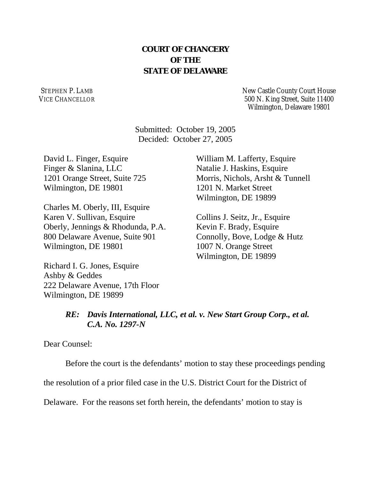## **COURT OF CHANCERY OF THE STATE OF DELAWARE**

STEPHEN P. LAMB VICE CHANCELLOR New Castle County Court House 500 N. King Street, Suite 11400 Wilmington, Delaware 19801

Submitted: October 19, 2005 Decided: October 27, 2005

David L. Finger, Esquire Finger & Slanina, LLC 1201 Orange Street, Suite 725 Wilmington, DE 19801

Charles M. Oberly, III, Esquire Karen V. Sullivan, Esquire Oberly, Jennings & Rhodunda, P.A. 800 Delaware Avenue, Suite 901 Wilmington, DE 19801

Richard I. G. Jones, Esquire Ashby & Geddes 222 Delaware Avenue, 17th Floor Wilmington, DE 19899

William M. Lafferty, Esquire Natalie J. Haskins, Esquire Morris, Nichols, Arsht & Tunnell 1201 N. Market Street Wilmington, DE 19899

Collins J. Seitz, Jr., Esquire Kevin F. Brady, Esquire Connolly, Bove, Lodge & Hutz 1007 N. Orange Street Wilmington, DE 19899

## *RE: Davis International, LLC, et al. v. New Start Group Corp., et al. C.A. No. 1297-N*

Dear Counsel:

Before the court is the defendants' motion to stay these proceedings pending

the resolution of a prior filed case in the U.S. District Court for the District of

Delaware. For the reasons set forth herein, the defendants' motion to stay is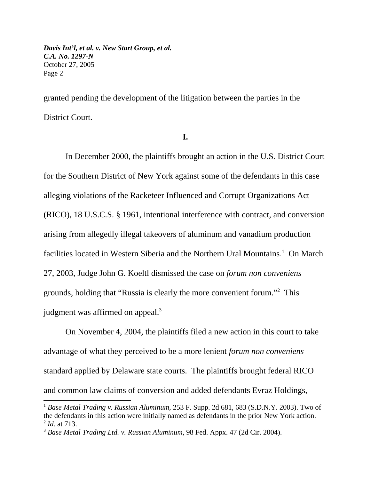granted pending the development of the litigation between the parties in the District Court.

## **I.**

In December 2000, the plaintiffs brought an action in the U.S. District Court for the Southern District of New York against some of the defendants in this case alleging violations of the Racketeer Influenced and Corrupt Organizations Act (RICO), 18 U.S.C.S. § 1961, intentional interference with contract, and conversion arising from allegedly illegal takeovers of aluminum and vanadium production facilities located in Western Siberia and the Northern Ural Mountains. 1 On March 27, 2003, Judge John G. Koeltl dismissed the case on *forum non conveniens* grounds, holding that "Russia is clearly the more convenient forum."2 This judgment was affirmed on appeal.<sup>3</sup>

On November 4, 2004, the plaintiffs filed a new action in this court to take advantage of what they perceived to be a more lenient *forum non conveniens* standard applied by Delaware state courts. The plaintiffs brought federal RICO and common law claims of conversion and added defendants Evraz Holdings,

<sup>1</sup> *Base Metal Trading v. Russian Aluminum,* 253 F. Supp. 2d 681, 683 (S.D.N.Y. 2003). Two of the defendants in this action were initially named as defendants in the prior New York action. <sup>2</sup> *Id.* at 713.

<sup>3</sup> *Base Metal Trading Ltd. v. Russian Aluminum*, 98 Fed. Appx. 47 (2d Cir. 2004).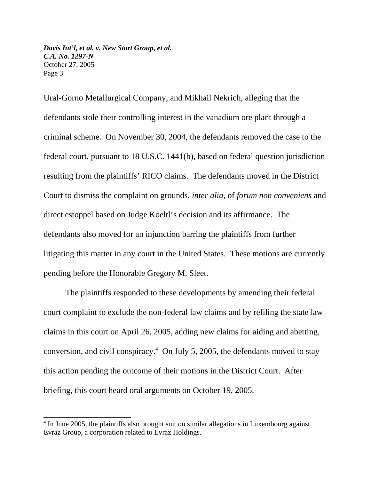Ural-Gorno Metallurgical Company, and Mikhail Nekrich, alleging that the defendants stole their controlling interest in the vanadium ore plant through a criminal scheme. On November 30, 2004, the defendants removed the case to the federal court, pursuant to 18 U.S.C. 1441(b), based on federal question jurisdiction resulting from the plaintiffs' RICO claims. The defendants moved in the District Court to dismiss the complaint on grounds, *inter alia*, of *forum non conveniens* and direct estoppel based on Judge Koeltl's decision and its affirmance. The defendants also moved for an injunction barring the plaintiffs from further litigating this matter in any court in the United States. These motions are currently pending before the Honorable Gregory M. Sleet.

The plaintiffs responded to these developments by amending their federal court complaint to exclude the non-federal law claims and by refiling the state law claims in this court on April 26, 2005, adding new claims for aiding and abetting, conversion, and civil conspiracy. $4$  On July 5, 2005, the defendants moved to stay this action pending the outcome of their motions in the District Court. After briefing, this court heard oral arguments on October 19, 2005.

<sup>&</sup>lt;sup>4</sup> In June 2005, the plaintiffs also brought suit on similar allegations in Luxembourg against Evraz Group, a corporation related to Evraz Holdings.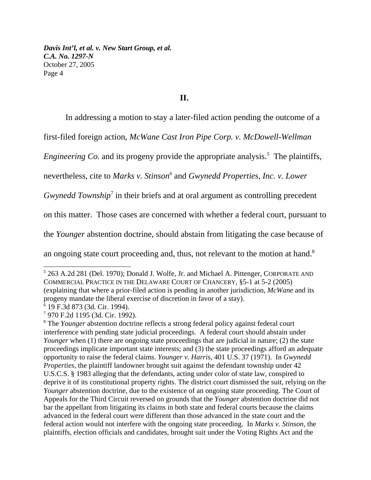**II.**

In addressing a motion to stay a later-filed action pending the outcome of a

first-filed foreign action, *McWane Cast Iron Pipe Corp. v. McDowell-Wellman*

*Engineering Co.* and its progeny provide the appropriate analysis.<sup>5</sup> The plaintiffs,

nevertheless, cite to *Marks v. Stinson6* and *Gwynedd Properties, Inc. v. Lower*

*Gwynedd Township*<sup>7</sup> in their briefs and at oral argument as controlling precedent

on this matter. Those cases are concerned with whether a federal court, pursuant to

the *Younger* abstention doctrine, should abstain from litigating the case because of

an ongoing state court proceeding and, thus, not relevant to the motion at hand.<sup>8</sup>

<sup>&</sup>lt;sup>5</sup> 263 A.2d 281 (Del. 1970); Donald J. Wolfe, Jr. and Michael A. Pittenger, CORPORATE AND COMMERCIAL PRACTICE IN THE DELAWARE COURT OF CHANCERY, §5-1 at 5-2 (2005) (explaining that where a prior-filed action is pending in another jurisdiction, *McWane* and its progeny mandate the liberal exercise of discretion in favor of a stay).

<sup>6</sup> 19 F.3d 873 (3d. Cir. 1994).

<sup>7</sup> 970 F.2d 1195 (3d. Cir. 1992).

<sup>&</sup>lt;sup>8</sup> The *Younger* abstention doctrine reflects a strong federal policy against federal court interference with pending state judicial proceedings. A federal court should abstain under *Younger* when (1) there are ongoing state proceedings that are judicial in nature; (2) the state proceedings implicate important state interests; and (3) the state proceedings afford an adequate opportunity to raise the federal claims. *Younger v. Harris*, 401 U.S. 37 (1971). In *Gwynedd Properties,* the plaintiff landowner brought suit against the defendant township under 42 U.S.C.S. § 1983 alleging that the defendants, acting under color of state law, conspired to deprive it of its constitutional property rights. The district court dismissed the suit, relying on the *Younger* abstention doctrine, due to the existence of an ongoing state proceeding. The Court of Appeals for the Third Circuit reversed on grounds that the *Younger* abstention doctrine did not bar the appellant from litigating its claims in both state and federal courts because the claims advanced in the federal court were different than those advanced in the state court and the federal action would not interfere with the ongoing state proceeding. In *Marks v. Stinson*, the plaintiffs, election officials and candidates, brought suit under the Voting Rights Act and the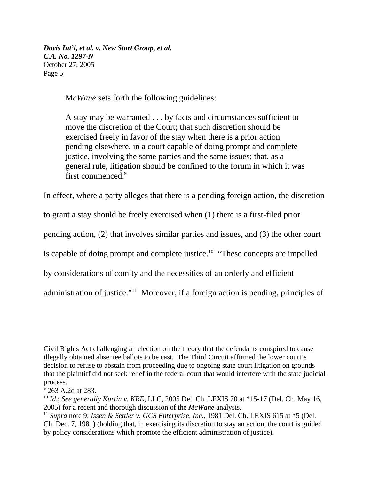M*cWane* sets forth the following guidelines:

A stay may be warranted . . . by facts and circumstances sufficient to move the discretion of the Court; that such discretion should be exercised freely in favor of the stay when there is a prior action pending elsewhere, in a court capable of doing prompt and complete justice, involving the same parties and the same issues; that, as a general rule, litigation should be confined to the forum in which it was first commenced.9

In effect, where a party alleges that there is a pending foreign action, the discretion

to grant a stay should be freely exercised when (1) there is a first-filed prior

pending action, (2) that involves similar parties and issues, and (3) the other court

is capable of doing prompt and complete justice.<sup>10</sup> "These concepts are impelled

by considerations of comity and the necessities of an orderly and efficient

administration of justice."11 Moreover, if a foreign action is pending, principles of

Civil Rights Act challenging an election on the theory that the defendants conspired to cause illegally obtained absentee ballots to be cast. The Third Circuit affirmed the lower court's decision to refuse to abstain from proceeding due to ongoing state court litigation on grounds that the plaintiff did not seek relief in the federal court that would interfere with the state judicial process.

<sup>&</sup>lt;sup>9</sup> 263 A.2d at 283.

<sup>10</sup> *Id*.; *See generally Kurtin v. KRE*, LLC, 2005 Del. Ch. LEXIS 70 at \*15-17 (Del. Ch. May 16, 2005) for a recent and thorough discussion of the *McWane* analysis.

<sup>11</sup> *Supra* note 9; *Issen & Settler v. GCS Enterprise, Inc.,* 1981 Del. Ch. LEXIS 615 at \*5 (Del. Ch. Dec. 7, 1981) (holding that, in exercising its discretion to stay an action, the court is guided by policy considerations which promote the efficient administration of justice).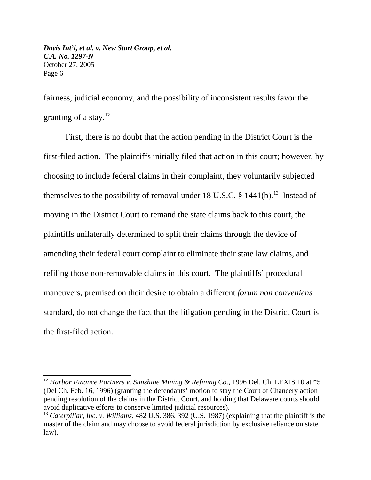fairness, judicial economy, and the possibility of inconsistent results favor the granting of a stay. $12$ 

First, there is no doubt that the action pending in the District Court is the first-filed action. The plaintiffs initially filed that action in this court; however, by choosing to include federal claims in their complaint, they voluntarily subjected themselves to the possibility of removal under 18 U.S.C.  $\S$  1441(b).<sup>13</sup> Instead of moving in the District Court to remand the state claims back to this court, the plaintiffs unilaterally determined to split their claims through the device of amending their federal court complaint to eliminate their state law claims, and refiling those non-removable claims in this court. The plaintiffs' procedural maneuvers, premised on their desire to obtain a different *forum non conveniens* standard, do not change the fact that the litigation pending in the District Court is the first-filed action.

<sup>&</sup>lt;sup>12</sup> Harbor Finance Partners v. Sunshine Mining & Refining Co., 1996 Del. Ch. LEXIS 10 at \*5 (Del Ch. Feb. 16, 1996) (granting the defendants' motion to stay the Court of Chancery action pending resolution of the claims in the District Court, and holding that Delaware courts should avoid duplicative efforts to conserve limited judicial resources).

<sup>13</sup> *Caterpillar, Inc. v. Williams*, 482 U.S. 386, 392 (U.S. 1987) (explaining that the plaintiff is the master of the claim and may choose to avoid federal jurisdiction by exclusive reliance on state law).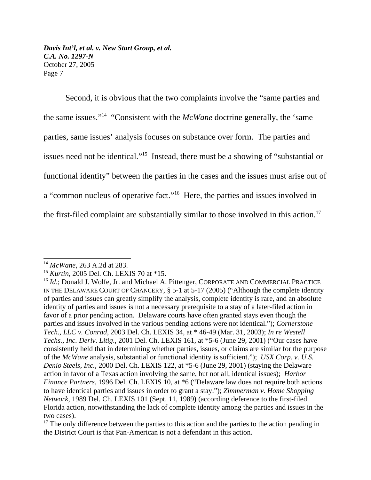Second, it is obvious that the two complaints involve the "same parties and the same issues."14 "Consistent with the *McWane* doctrine generally, the 'same parties, same issues' analysis focuses on substance over form. The parties and issues need not be identical."15 Instead, there must be a showing of "substantial or functional identity" between the parties in the cases and the issues must arise out of a "common nucleus of operative fact."16 Here, the parties and issues involved in the first-filed complaint are substantially similar to those involved in this action.<sup>17</sup>

<sup>14</sup> *McWane*, 263 A.2d at 283.

<sup>15</sup> *Kurtin*, 2005 Del. Ch. LEXIS 70 at \*15.

<sup>&</sup>lt;sup>16</sup> *Id.*; Donald J. Wolfe, Jr. and Michael A. Pittenger, CORPORATE AND COMMERCIAL PRACTICE IN THE DELAWARE COURT OF CHANCERY, § 5-1 at 5-17 (2005) ("Although the complete identity of parties and issues can greatly simplify the analysis, complete identity is rare, and an absolute identity of parties and issues is not a necessary prerequisite to a stay of a later-filed action in favor of a prior pending action. Delaware courts have often granted stays even though the parties and issues involved in the various pending actions were not identical."); *Cornerstone Tech., LLC v. Conrad*, 2003 Del. Ch. LEXIS 34, at \* 46-49 (Mar. 31, 2003); *In re Westell Techs., Inc. Deriv. Litig*., 2001 Del. Ch. LEXIS 161, at \*5-6 (June 29, 2001) ("Our cases have consistently held that in determining whether parties, issues, or claims are similar for the purpose of the *McWane* analysis, substantial or functional identity is sufficient."); *USX Corp. v. U.S. Denio Steels*, *Inc.,* 2000 Del. Ch. LEXIS 122, at \*5-6 (June 29, 2001) (staying the Delaware action in favor of a Texas action involving the same, but not all, identical issues); *Harbor Finance Partners*, 1996 Del. Ch. LEXIS 10, at \*6 ("Delaware law does not require both actions to have identical parties and issues in order to grant a stay."); *Zimmerman v. Home Shopping Network*, 1989 Del. Ch. LEXIS 101 (Sept. 11, 1989**)** (according deference to the first-filed Florida action, notwithstanding the lack of complete identity among the parties and issues in the two cases).

 $17$  The only difference between the parties to this action and the parties to the action pending in the District Court is that Pan-American is not a defendant in this action.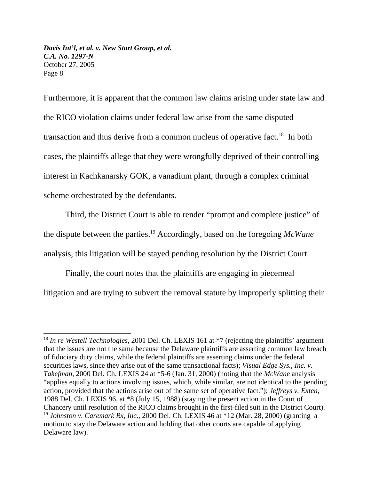Furthermore, it is apparent that the common law claims arising under state law and the RICO violation claims under federal law arise from the same disputed transaction and thus derive from a common nucleus of operative fact.<sup>18</sup> In both cases, the plaintiffs allege that they were wrongfully deprived of their controlling interest in Kachkanarsky GOK, a vanadium plant, through a complex criminal scheme orchestrated by the defendants.

Third, the District Court is able to render "prompt and complete justice" of the dispute between the parties.19 Accordingly, based on the foregoing *McWane* analysis, this litigation will be stayed pending resolution by the District Court.

Finally, the court notes that the plaintiffs are engaging in piecemeal litigation and are trying to subvert the removal statute by improperly splitting their

<sup>&</sup>lt;sup>18</sup> In re Westell Technologies, 2001 Del. Ch. LEXIS 161 at \*7 (rejecting the plaintiffs' argument that the issues are not the same because the Delaware plaintiffs are asserting common law breach of fiduciary duty claims, while the federal plaintiffs are asserting claims under the federal securities laws, since they arise out of the same transactional facts); *Visual Edge Sys., Inc. v. Takefman*, 2000 Del. Ch. LEXIS 24 at \*5-6 (Jan. 31, 2000) (noting that the *McWane* analysis "applies equally to actions involving issues, which, while similar, are not identical to the pending action, provided that the actions arise out of the same set of operative fact."); *Jeffreys v. Exten*, 1988 Del. Ch. LEXIS 96, at \*8 (July 15, 1988) (staying the present action in the Court of Chancery until resolution of the RICO claims brought in the first-filed suit in the District Court). <sup>19</sup> *Johnston v. Caremark Rx, Inc*., 2000 Del. Ch. LEXIS 46 at \*12 (Mar. 28, 2000) (granting a motion to stay the Delaware action and holding that other courts are capable of applying Delaware law).